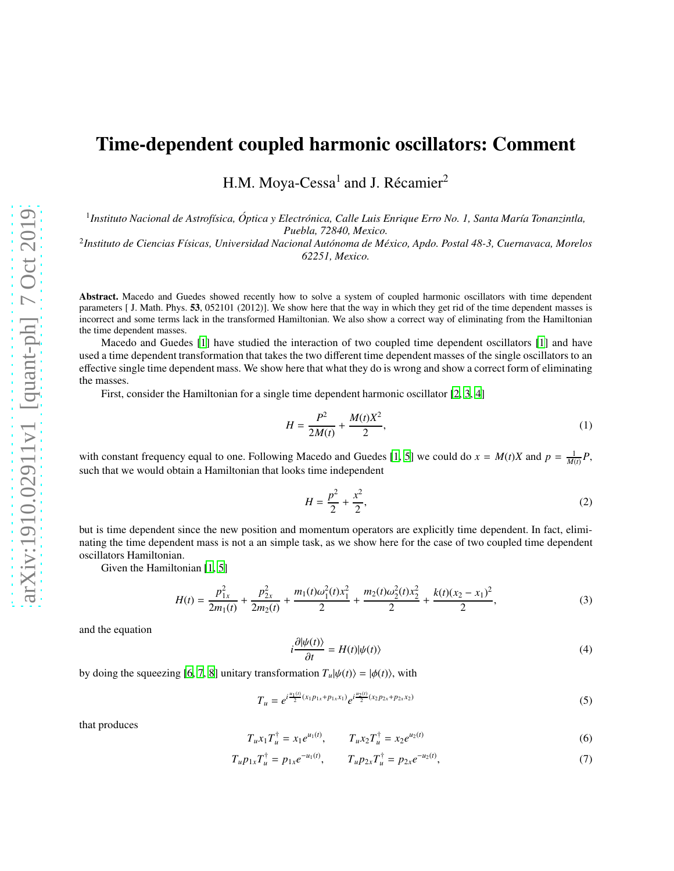## Time-dependent coupled harmonic oscillators: Comment

H.M. Moya- $Cessa<sup>1</sup>$  and J. Récamier<sup>2</sup>

<sup>1</sup> Instituto Nacional de Astrofísica, Óptica y Electrónica, Calle Luis Enrique Erro No. 1, Santa María Tonanzintla, *Puebla, 72840, Mexico.*

<sup>2</sup>Instituto de Ciencias Físicas, Universidad Nacional Autónoma de México, Apdo. Postal 48-3, Cuernavaca, Morelos *62251, Mexico.*

Abstract. Macedo and Guedes showed recently how to solve a system of coupled harmonic oscillators with time dependent parameters [ J. Math. Phys. 53, 052101 (2012)]. We show here that the way in which they get rid of the time dependent masses is incorrect and some terms lack in the transformed Hamiltonian. We also show a correct way of eliminating from the Hamiltonian the time dependent masses.

Macedo and Guedes [\[1](#page-2-0)] have studied the interaction of two coupled time dependent oscillators [\[1\]](#page-2-0) and have used a time dependent transformation that takes the two different time dependent masses of the single oscillators to an effective single time dependent mass. We show here that what they do is wrong and show a correct form of eliminating the masses.

First, consider the Hamiltonian for a single time dependent harmonic oscillator [\[2](#page-2-1), [3](#page-2-2), [4](#page-2-3)]

$$
H = \frac{P^2}{2M(t)} + \frac{M(t)X^2}{2},\tag{1}
$$

with constant frequency equal to one. Following Macedo and Guedes [\[1,](#page-2-0) [5\]](#page-2-4) we could do  $x = M(t)X$  and  $p = \frac{1}{M(t)}P$ , such that we would obtain a Hamiltonian that looks time independent

$$
H = \frac{p^2}{2} + \frac{x^2}{2},\tag{2}
$$

but is time dependent since the new position and momentum operators are explicitly time dependent. In fact, eliminating the time dependent mass is not a an simple task, as we show here for the case of two coupled time dependent oscillators Hamiltonian.

Given the Hamiltonian [\[1,](#page-2-0) [5\]](#page-2-4)

$$
H(t) = \frac{p_{1x}^2}{2m_1(t)} + \frac{p_{2x}^2}{2m_2(t)} + \frac{m_1(t)\omega_1^2(t)x_1^2}{2} + \frac{m_2(t)\omega_2^2(t)x_2^2}{2} + \frac{k(t)(x_2 - x_1)^2}{2},
$$
\n(3)

and the equation

$$
i\frac{\partial|\psi(t)\rangle}{\partial t} = H(t)|\psi(t)\rangle
$$
\n(4)

by doing the squeezing [\[6,](#page-2-5) [7,](#page-2-6) [8\]](#page-2-7) unitary transformation  $T_u|\psi(t)\rangle = |\phi(t)\rangle$ , with

$$
T_u = e^{i\frac{u_1(t)}{2}(x_1p_{1x} + p_{1x}x_1)} e^{i\frac{u_2(t)}{2}(x_2p_{2x} + p_{2x}x_2)}
$$
(5)

that produces

$$
T_u x_1 T_u^{\dagger} = x_1 e^{u_1(t)}, \qquad T_u x_2 T_u^{\dagger} = x_2 e^{u_2(t)} \tag{6}
$$

$$
T_u p_{1x} T_u^{\dagger} = p_{1x} e^{-u_1(t)}, \qquad T_u p_{2x} T_u^{\dagger} = p_{2x} e^{-u_2(t)}, \tag{7}
$$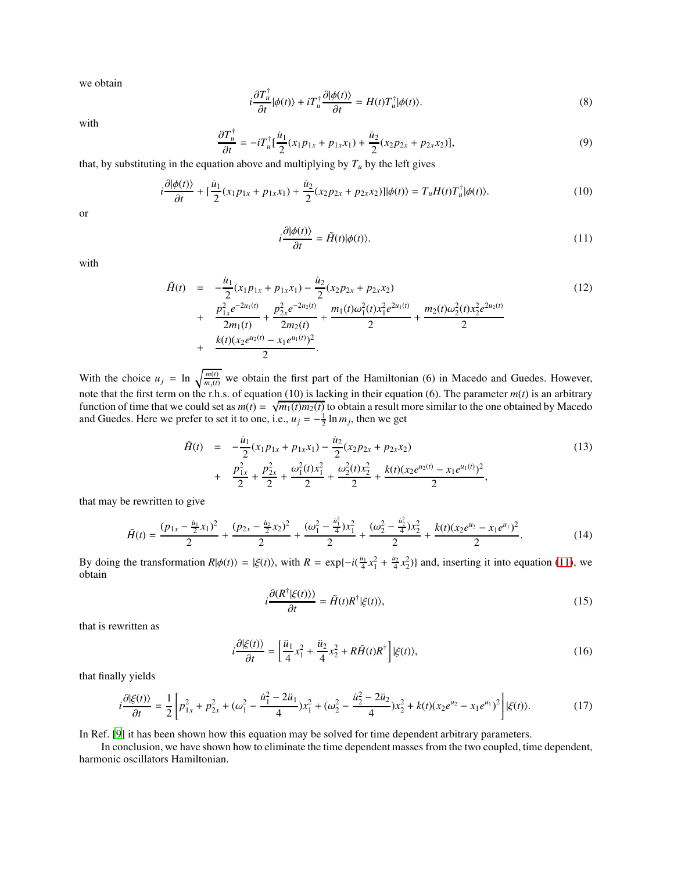we obtain

$$
i\frac{\partial T_u^{\dagger}}{\partial t}|\phi(t)\rangle + iT_u^{\dagger} \frac{\partial|\phi(t)\rangle}{\partial t} = H(t)T_u^{\dagger}|\phi(t)\rangle.
$$
 (8)

with

$$
\frac{\partial T_u^{\dagger}}{\partial t} = -iT_u^{\dagger} \left[ \frac{\dot{u}_1}{2} (x_1 p_{1x} + p_{1x} x_1) + \frac{\dot{u}_2}{2} (x_2 p_{2x} + p_{2x} x_2) \right],\tag{9}
$$

that, by substituting in the equation above and multiplying by  $T<sub>u</sub>$  by the left gives

$$
i\frac{\partial |\phi(t)\rangle}{\partial t} + \left[\frac{\dot{u}_1}{2}(x_1 p_{1x} + p_{1x} x_1) + \frac{\dot{u}_2}{2}(x_2 p_{2x} + p_{2x} x_2)\right] |\phi(t)\rangle = T_u H(t) T_u^{\dagger} |\phi(t)\rangle.
$$
 (10)

or

<span id="page-1-0"></span>
$$
i\frac{\partial|\phi(t)\rangle}{\partial t} = \tilde{H}(t)|\phi(t)\rangle.
$$
 (11)

with

$$
\tilde{H}(t) = -\frac{\dot{u}_1}{2}(x_1p_{1x} + p_{1x}x_1) - \frac{\dot{u}_2}{2}(x_2p_{2x} + p_{2x}x_2) \n+ \frac{p_{1x}^2e^{-2u_1(t)}}{2m_1(t)} + \frac{p_{2x}^2e^{-2u_2(t)}}{2m_2(t)} + \frac{m_1(t)\omega_1^2(t)x_1^2e^{2u_1(t)}}{2} + \frac{m_2(t)\omega_2^2(t)x_2^2e^{2u_2(t)}}{2} \n+ \frac{k(t)(x_2e^{u_2(t)} - x_1e^{u_1(t)})^2}{2}.
$$
\n(12)

With the choice  $u_j = \ln \sqrt{\frac{m(t)}{m_j(t)}}$  we obtain the first part of the Hamiltonian (6) in Macedo and Guedes. However, note that the first term on the r.h.s. of equation (10) is lacking in their equation (6). The parameter  $m(t)$  is an arbitrary function of time that we could set as  $m(t) = \sqrt{m_1(t)m_2(t)}$  to obtain a result more similar to the one obtained by Macedo and Guedes. Here we prefer to set it to one, i.e.,  $u_j = -\frac{1}{2} \ln m_j$ , then we get

$$
\tilde{H}(t) = -\frac{\dot{u}_1}{2}(x_1p_{1x} + p_{1x}x_1) - \frac{\dot{u}_2}{2}(x_2p_{2x} + p_{2x}x_2) \n+ \frac{p_{1x}^2}{2} + \frac{p_{2x}^2}{2} + \frac{\omega_1^2(t)x_1^2}{2} + \frac{\omega_2^2(t)x_2^2}{2} + \frac{k(t)(x_2e^{u_2(t)} - x_1e^{u_1(t)})^2}{2},
$$
\n(13)

that may be rewritten to give

$$
\tilde{H}(t) = \frac{(p_{1x} - \frac{u_1}{2}x_1)^2}{2} + \frac{(p_{2x} - \frac{u_2}{2}x_2)^2}{2} + \frac{(\omega_1^2 - \frac{u_1^2}{4})x_1^2}{2} + \frac{(\omega_2^2 - \frac{u_2^2}{4})x_2^2}{2} + \frac{k(t)(x_2e^{u_2} - x_1e^{u_1})^2}{2}.
$$
\n(14)

By doing the transformation  $R|\phi(t)\rangle = |\xi(t)\rangle$ , with  $R = \exp\{-i(\frac{u_1}{4}x_1^2 + \frac{u_2}{4}x_2^2)\}\$  and, inserting it into equation [\(11\)](#page-1-0), we obtain

$$
i\frac{\partial \langle R^{\dagger}|\xi(t)\rangle)}{\partial t} = \tilde{H}(t)R^{\dagger}|\xi(t)\rangle,\tag{15}
$$

that is rewritten as

$$
i\frac{\partial|\xi(t)\rangle}{\partial t} = \left[\frac{\ddot{u}_1}{4}x_1^2 + \frac{\ddot{u}_2}{4}x_2^2 + R\tilde{H}(t)R^\dagger\right]|\xi(t)\rangle,\tag{16}
$$

that finally yields

$$
i\frac{\partial|\xi(t)\rangle}{\partial t} = \frac{1}{2}\left[p_{1x}^2 + p_{2x}^2 + (\omega_1^2 - \frac{\dot{u}_1^2 - 2\ddot{u}_1}{4})x_1^2 + (\omega_2^2 - \frac{\dot{u}_2^2 - 2\ddot{u}_2}{4})x_2^2 + k(t)(x_2e^{u_2} - x_1e^{u_1})^2\right]|\xi(t)\rangle.
$$
 (17)

In Ref. [\[9\]](#page-2-8) it has been shown how this equation may be solved for time dependent arbitrary parameters.

In conclusion, we have shown how to eliminate the time dependent masses from the two coupled, time dependent, harmonic oscillators Hamiltonian.